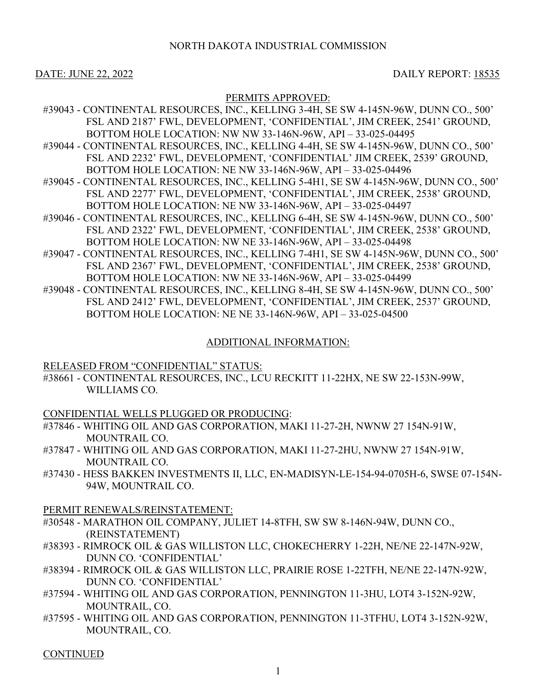### NORTH DAKOTA INDUSTRIAL COMMISSION

DATE: JUNE 22, 2022 DAILY REPORT: 18535

### PERMITS APPROVED:

- #39043 CONTINENTAL RESOURCES, INC., KELLING 3-4H, SE SW 4-145N-96W, DUNN CO., 500' FSL AND 2187' FWL, DEVELOPMENT, 'CONFIDENTIAL', JIM CREEK, 2541' GROUND, BOTTOM HOLE LOCATION: NW NW 33-146N-96W, API – 33-025-04495
- #39044 CONTINENTAL RESOURCES, INC., KELLING 4-4H, SE SW 4-145N-96W, DUNN CO., 500' FSL AND 2232' FWL, DEVELOPMENT, 'CONFIDENTIAL' JIM CREEK, 2539' GROUND, BOTTOM HOLE LOCATION: NE NW 33-146N-96W, API – 33-025-04496
- #39045 CONTINENTAL RESOURCES, INC., KELLING 5-4H1, SE SW 4-145N-96W, DUNN CO., 500' FSL AND 2277' FWL, DEVELOPMENT, 'CONFIDENTIAL', JIM CREEK, 2538' GROUND, BOTTOM HOLE LOCATION: NE NW 33-146N-96W, API – 33-025-04497
- #39046 CONTINENTAL RESOURCES, INC., KELLING 6-4H, SE SW 4-145N-96W, DUNN CO., 500' FSL AND 2322' FWL, DEVELOPMENT, 'CONFIDENTIAL', JIM CREEK, 2538' GROUND, BOTTOM HOLE LOCATION: NW NE 33-146N-96W, API – 33-025-04498
- #39047 CONTINENTAL RESOURCES, INC., KELLING 7-4H1, SE SW 4-145N-96W, DUNN CO., 500' FSL AND 2367' FWL, DEVELOPMENT, 'CONFIDENTIAL', JIM CREEK, 2538' GROUND, BOTTOM HOLE LOCATION: NW NE 33-146N-96W, API – 33-025-04499
- #39048 CONTINENTAL RESOURCES, INC., KELLING 8-4H, SE SW 4-145N-96W, DUNN CO., 500' FSL AND 2412' FWL, DEVELOPMENT, 'CONFIDENTIAL', JIM CREEK, 2537' GROUND, BOTTOM HOLE LOCATION: NE NE 33-146N-96W, API – 33-025-04500

## ADDITIONAL INFORMATION:

### RELEASED FROM "CONFIDENTIAL" STATUS:

#38661 - CONTINENTAL RESOURCES, INC., LCU RECKITT 11-22HX, NE SW 22-153N-99W, WILLIAMS CO.

CONFIDENTIAL WELLS PLUGGED OR PRODUCING:

- #37846 WHITING OIL AND GAS CORPORATION, MAKI 11-27-2H, NWNW 27 154N-91W, MOUNTRAIL CO.
- #37847 WHITING OIL AND GAS CORPORATION, MAKI 11-27-2HU, NWNW 27 154N-91W, MOUNTRAIL CO.
- #37430 HESS BAKKEN INVESTMENTS II, LLC, EN-MADISYN-LE-154-94-0705H-6, SWSE 07-154N-94W, MOUNTRAIL CO.

### PERMIT RENEWALS/REINSTATEMENT:

- #30548 MARATHON OIL COMPANY, JULIET 14-8TFH, SW SW 8-146N-94W, DUNN CO., (REINSTATEMENT)
- #38393 RIMROCK OIL & GAS WILLISTON LLC, CHOKECHERRY 1-22H, NE/NE 22-147N-92W, DUNN CO. 'CONFIDENTIAL'
- #38394 RIMROCK OIL & GAS WILLISTON LLC, PRAIRIE ROSE 1-22TFH, NE/NE 22-147N-92W, DUNN CO. 'CONFIDENTIAL'
- #37594 WHITING OIL AND GAS CORPORATION, PENNINGTON 11-3HU, LOT4 3-152N-92W, MOUNTRAIL, CO.
- #37595 WHITING OIL AND GAS CORPORATION, PENNINGTON 11-3TFHU, LOT4 3-152N-92W, MOUNTRAIL, CO.

CONTINUED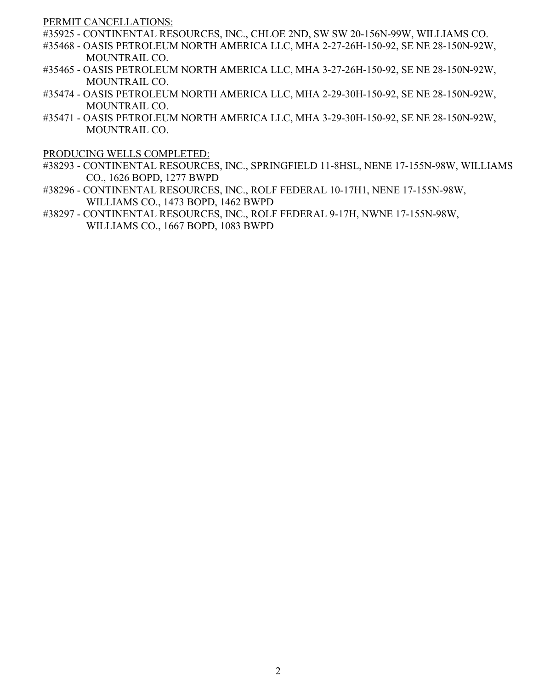PERMIT CANCELLATIONS:

- #35925 CONTINENTAL RESOURCES, INC., CHLOE 2ND, SW SW 20-156N-99W, WILLIAMS CO.
- #35468 OASIS PETROLEUM NORTH AMERICA LLC, MHA 2-27-26H-150-92, SE NE 28-150N-92W, MOUNTRAIL CO.
- #35465 OASIS PETROLEUM NORTH AMERICA LLC, MHA 3-27-26H-150-92, SE NE 28-150N-92W, MOUNTRAIL CO.
- #35474 OASIS PETROLEUM NORTH AMERICA LLC, MHA 2-29-30H-150-92, SE NE 28-150N-92W, MOUNTRAIL CO.
- #35471 OASIS PETROLEUM NORTH AMERICA LLC, MHA 3-29-30H-150-92, SE NE 28-150N-92W, MOUNTRAIL CO.

PRODUCING WELLS COMPLETED:

- #38293 CONTINENTAL RESOURCES, INC., SPRINGFIELD 11-8HSL, NENE 17-155N-98W, WILLIAMS CO., 1626 BOPD, 1277 BWPD
- #38296 CONTINENTAL RESOURCES, INC., ROLF FEDERAL 10-17H1, NENE 17-155N-98W, WILLIAMS CO., 1473 BOPD, 1462 BWPD
- #38297 CONTINENTAL RESOURCES, INC., ROLF FEDERAL 9-17H, NWNE 17-155N-98W, WILLIAMS CO., 1667 BOPD, 1083 BWPD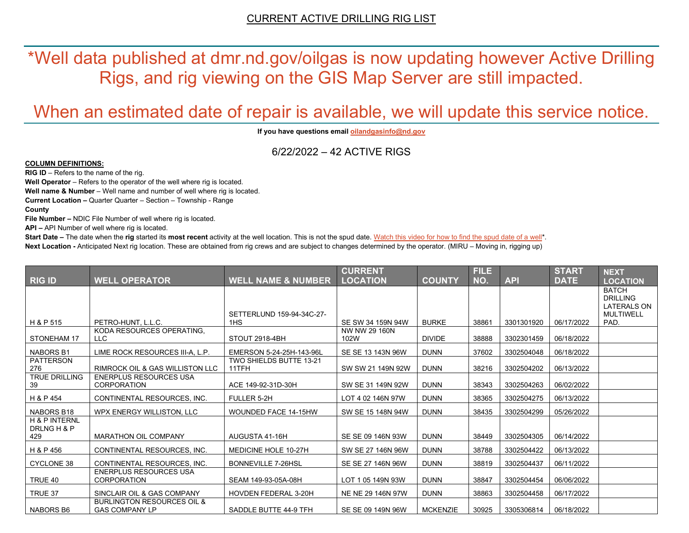\*Well data published at dmr.nd.gov/oilgas is now updating however Active Drilling Rigs, and rig viewing on the GIS Map Server are still impacted.

# When an estimated date of repair is available, we will update this service notice.

**If you have questions emai[l oilandgasinfo@nd.gov](mailto:oilandgasinfo@nd.gov)**

6/22/2022 – 42 ACTIVE RIGS

#### **COLUMN DEFINITIONS:**

**RIG ID** – Refers to the name of the rig.

**Well Operator** – Refers to the operator of the well where rig is located.

**Well name & Number** – Well name and number of well where rig is located.

**Current Location –** Quarter Quarter – Section – Township - Range

**County**

**File Number –** NDIC File Number of well where rig is located.

**API –** API Number of well where rig is located.

**Start Date** – The date when the **rig** started its most recent activity at the well location. This is not the spud date. Watch this video for how [to find the spud date of a well\\*](https://youtu.be/JjWwzuuMVpM). **Next Location -** Anticipated Next rig location. These are obtained from rig crews and are subject to changes determined by the operator. (MIRU – Moving in, rigging up)

|                                                |                                                                |                                         | <b>CURRENT</b>        |                 | <b>FILE</b> |            | <b>START</b> | <b>NEXT</b>                                                               |
|------------------------------------------------|----------------------------------------------------------------|-----------------------------------------|-----------------------|-----------------|-------------|------------|--------------|---------------------------------------------------------------------------|
| RIG ID                                         | <b>WELL OPERATOR</b>                                           | <b>WELL NAME &amp; NUMBER</b>           | <b>LOCATION</b>       | <b>COUNTY</b>   | NO.         | <b>API</b> | <b>DATE</b>  | <b>LOCATION</b>                                                           |
|                                                |                                                                | SETTERLUND 159-94-34C-27-               |                       |                 |             |            |              | <b>BATCH</b><br><b>DRILLING</b><br><b>LATERALS ON</b><br><b>MULTIWELL</b> |
| H & P 515                                      | PETRO-HUNT, L.L.C.                                             | 1HS                                     | SE SW 34 159N 94W     | <b>BURKE</b>    | 38861       | 3301301920 | 06/17/2022   | PAD.                                                                      |
| STONEHAM 17                                    | KODA RESOURCES OPERATING,<br>LLC.                              | STOUT 2918-4BH                          | NW NW 29 160N<br>102W | <b>DIVIDE</b>   | 38888       | 3302301459 | 06/18/2022   |                                                                           |
| <b>NABORS B1</b>                               | LIME ROCK RESOURCES III-A, L.P.                                | EMERSON 5-24-25H-143-96L                | SE SE 13 143N 96W     | <b>DUNN</b>     | 37602       | 3302504048 | 06/18/2022   |                                                                           |
| <b>PATTERSON</b><br>276                        | <b>RIMROCK OIL &amp; GAS WILLISTON LLC</b>                     | <b>TWO SHIELDS BUTTE 13-21</b><br>11TFH | SW SW 21 149N 92W     | <b>DUNN</b>     | 38216       | 3302504202 | 06/13/2022   |                                                                           |
| <b>TRUE DRILLING</b><br>39                     | <b>ENERPLUS RESOURCES USA</b><br><b>CORPORATION</b>            | ACE 149-92-31D-30H                      | SW SE 31 149N 92W     | <b>DUNN</b>     | 38343       | 3302504263 | 06/02/2022   |                                                                           |
| H & P 454                                      | CONTINENTAL RESOURCES, INC.                                    | FULLER 5-2H                             | LOT 4 02 146N 97W     | <b>DUNN</b>     | 38365       | 3302504275 | 06/13/2022   |                                                                           |
| NABORS B18                                     | WPX ENERGY WILLISTON, LLC                                      | <b>WOUNDED FACE 14-15HW</b>             | SW SE 15 148N 94W     | <b>DUNN</b>     | 38435       | 3302504299 | 05/26/2022   |                                                                           |
| <b>H &amp; P INTERNL</b><br>DRLNG H & P<br>429 | <b>MARATHON OIL COMPANY</b>                                    | AUGUSTA 41-16H                          | SE SE 09 146N 93W     | <b>DUNN</b>     | 38449       | 3302504305 | 06/14/2022   |                                                                           |
| H & P 456                                      | CONTINENTAL RESOURCES, INC.                                    | MEDICINE HOLE 10-27H                    | SW SE 27 146N 96W     | <b>DUNN</b>     | 38788       | 3302504422 | 06/13/2022   |                                                                           |
| CYCLONE 38                                     | CONTINENTAL RESOURCES. INC.                                    | <b>BONNEVILLE 7-26HSL</b>               | SE SE 27 146N 96W     | <b>DUNN</b>     | 38819       | 3302504437 | 06/11/2022   |                                                                           |
| TRUE 40                                        | <b>ENERPLUS RESOURCES USA</b><br><b>CORPORATION</b>            | SEAM 149-93-05A-08H                     | LOT 1 05 149N 93W     | <b>DUNN</b>     | 38847       | 3302504454 | 06/06/2022   |                                                                           |
| TRUE 37                                        | SINCLAIR OIL & GAS COMPANY                                     | <b>HOVDEN FEDERAL 3-20H</b>             | NE NE 29 146N 97W     | <b>DUNN</b>     | 38863       | 3302504458 | 06/17/2022   |                                                                           |
| <b>NABORS B6</b>                               | <b>BURLINGTON RESOURCES OIL &amp;</b><br><b>GAS COMPANY LP</b> | SADDLE BUTTE 44-9 TFH                   | SE SE 09 149N 96W     | <b>MCKENZIE</b> | 30925       | 3305306814 | 06/18/2022   |                                                                           |